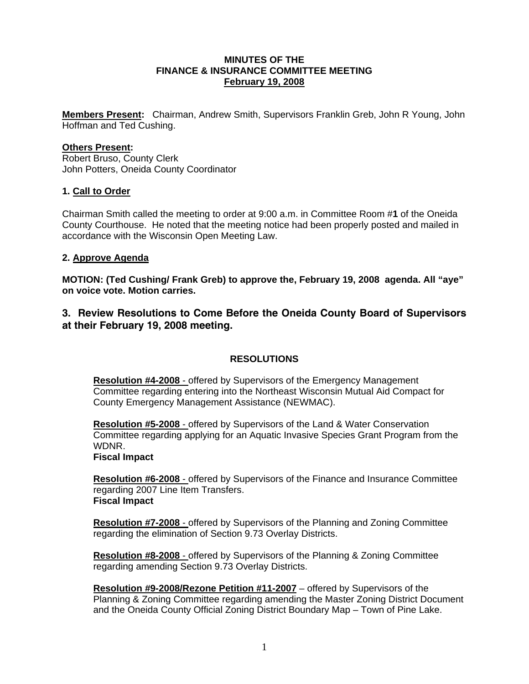### **MINUTES OF THE FINANCE & INSURANCE COMMITTEE MEETING February 19, 2008**

**Members Present:** Chairman, Andrew Smith, Supervisors Franklin Greb, John R Young, John Hoffman and Ted Cushing.

### **Others Present:**

Robert Bruso, County Clerk John Potters, Oneida County Coordinator

### **1. Call to Order**

Chairman Smith called the meeting to order at 9:00 a.m. in Committee Room #**1** of the Oneida County Courthouse. He noted that the meeting notice had been properly posted and mailed in accordance with the Wisconsin Open Meeting Law.

### **2. Approve Agenda**

**MOTION: (Ted Cushing/ Frank Greb) to approve the, February 19, 2008 agenda. All "aye" on voice vote. Motion carries.** 

**3. Review Resolutions to Come Before the Oneida County Board of Supervisors at their February 19, 2008 meeting.** 

# **RESOLUTIONS**

**Resolution #4-2008** - offered by Supervisors of the Emergency Management Committee regarding entering into the Northeast Wisconsin Mutual Aid Compact for County Emergency Management Assistance (NEWMAC).

**Resolution #5-2008** - offered by Supervisors of the Land & Water Conservation Committee regarding applying for an Aquatic Invasive Species Grant Program from the WDNR.

**Fiscal Impact**

**Resolution #6-2008** - offered by Supervisors of the Finance and Insurance Committee regarding 2007 Line Item Transfers. **Fiscal Impact**

**Resolution #7-2008** - offered by Supervisors of the Planning and Zoning Committee regarding the elimination of Section 9.73 Overlay Districts.

**Resolution #8-2008** - offered by Supervisors of the Planning & Zoning Committee regarding amending Section 9.73 Overlay Districts.

**Resolution #9-2008/Rezone Petition #11-2007** – offered by Supervisors of the Planning & Zoning Committee regarding amending the Master Zoning District Document and the Oneida County Official Zoning District Boundary Map – Town of Pine Lake.